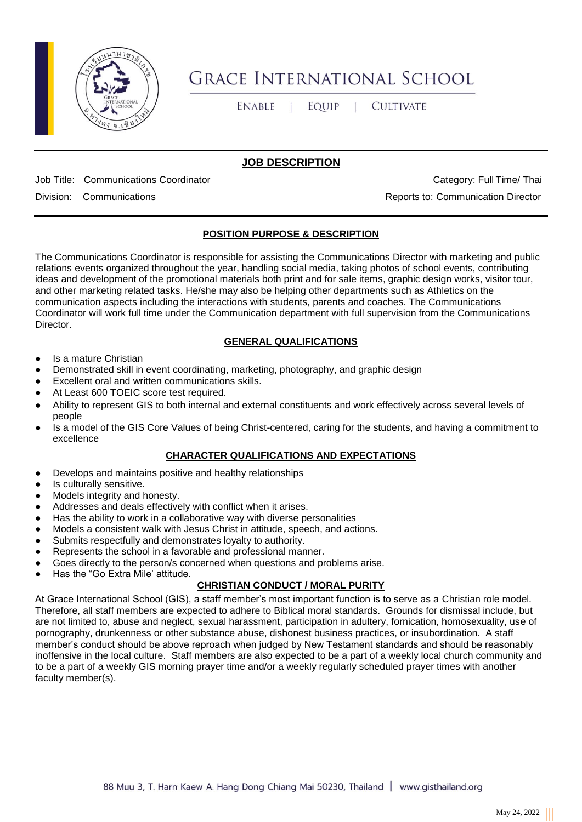

# **GRACE INTERNATIONAL SCHOOL**

**ENABLE**  $\blacksquare$ EQUIP  $\mathbb{R}^n$ **CULTIVATE** 

## **JOB DESCRIPTION**

Job Title: Communications Coordinator Category: Full Time/ Thai

Division: Communications Reports to: Communication Director

## **POSITION PURPOSE & DESCRIPTION**

The Communications Coordinator is responsible for assisting the Communications Director with marketing and public relations events organized throughout the year, handling social media, taking photos of school events, contributing ideas and development of the promotional materials both print and for sale items, graphic design works, visitor tour, and other marketing related tasks. He/she may also be helping other departments such as Athletics on the communication aspects including the interactions with students, parents and coaches. The Communications Coordinator will work full time under the Communication department with full supervision from the Communications Director.

#### **GENERAL QUALIFICATIONS**

- Is a mature Christian
- Demonstrated skill in event coordinating, marketing, photography, and graphic design
- Excellent oral and written communications skills.
- At Least 600 TOEIC score test required.
- Ability to represent GIS to both internal and external constituents and work effectively across several levels of people
- Is a model of the GIS Core Values of being Christ-centered, caring for the students, and having a commitment to excellence

#### **CHARACTER QUALIFICATIONS AND EXPECTATIONS**

- Develops and maintains positive and healthy relationships
- Is culturally sensitive.
- Models integrity and honesty.
- Addresses and deals effectively with conflict when it arises.
- Has the ability to work in a collaborative way with diverse personalities
- Models a consistent walk with Jesus Christ in attitude, speech, and actions.
- Submits respectfully and demonstrates loyalty to authority.
- Represents the school in a favorable and professional manner.
- Goes directly to the person/s concerned when questions and problems arise.
- Has the "Go Extra Mile' attitude.

### **CHRISTIAN CONDUCT / MORAL PURITY**

At Grace International School (GIS), a staff member's most important function is to serve as a Christian role model. Therefore, all staff members are expected to adhere to Biblical moral standards. Grounds for dismissal include, but are not limited to, abuse and neglect, sexual harassment, participation in adultery, fornication, homosexuality, use of pornography, drunkenness or other substance abuse, dishonest business practices, or insubordination. A staff member's conduct should be above reproach when judged by New Testament standards and should be reasonably inoffensive in the local culture. Staff members are also expected to be a part of a weekly local church community and to be a part of a weekly GIS morning prayer time and/or a weekly regularly scheduled prayer times with another faculty member(s).